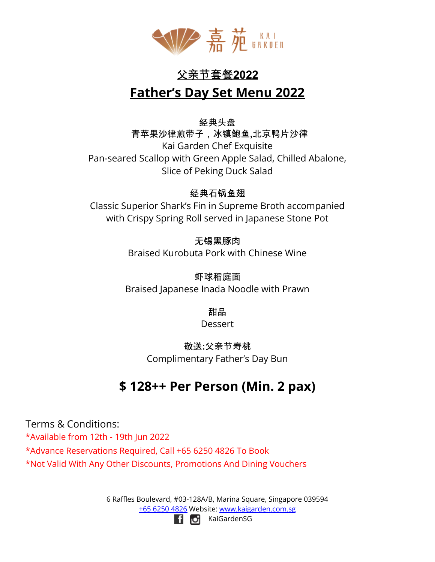

# 父亲节套餐**2022 Father's Day Set Menu 2022**

#### 经典头盘

青苹果沙律煎带子,冰镇鲍鱼**,**北京鸭片沙律 Kai Garden Chef Exquisite Pan-seared Scallop with Green Apple Salad, Chilled Abalone, Slice of Peking Duck Salad

#### 经典石锅鱼翅

Classic Superior Shark's Fin in Supreme Broth accompanied with Crispy Spring Roll served in Japanese Stone Pot

#### 无锡黑豚肉

Braised Kurobuta Pork with Chinese Wine

虾球稻庭面 Braised Japanese Inada Noodle with Prawn

甜品

**Dessert** 

#### 敬送**:**父亲节寿桃 Complimentary Father's Day Bun

## **\$ 128++ Per Person (Min. 2 pax)**

Terms & Conditions: \*Available from 12th - 19th Jun 2022 \*Advance Reservations Required, Call +65 6250 4826 To Book \*Not Valid With Any Other Discounts, Promotions And Dining Vouchers

> 6 Raffles Boulevard, #03-128A/B, Marina Square, Singapore 039594 +65 6250 4826 Website: [www.kaigarden.com.sg](http://www.kaigarden.com.sg) KaiGardenSGl filloi